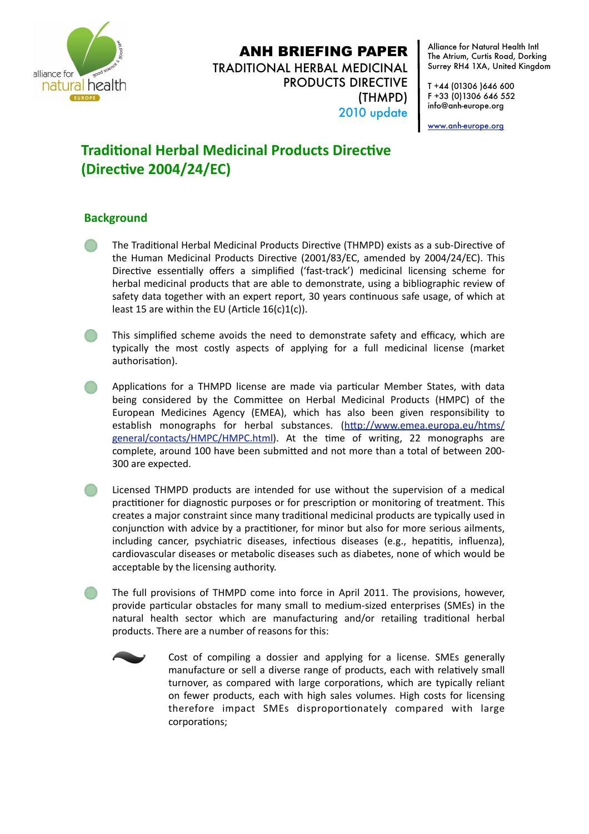

## ANH BRIEFING PAPER

TRADITIONAL HERBAL MEDICINAL PRODUCTS DIRECTIVE (THMPD) 2010 update

Alliance for Natural Health Intl The Atrium, Curtis Road, Dorking Surrey RH4 1XA, United Kingdom

T +44 (01306 )646 600 F +33 (0)1306 646 552 info@anh-europe.org

[www.anh-europe.org](http://www.anhcampaign.org)

## **Traditional Herbal Medicinal Products Directive** (Directive 2004/24/EC)

## **Background**

- The Traditional Herbal Medicinal Products Directive (THMPD) exists as a sub-Directive of the Human Medicinal Products Directive (2001/83/EC, amended by 2004/24/EC). This Directive essentially offers a simplified ('fast-track') medicinal licensing scheme for herbal medicinal products that are able to demonstrate, using a bibliographic review of safety data together with an expert report, 30 years continuous safe usage, of which at least 15 are within the EU (Article  $16(c)1(c)$ ).
- This simplified scheme avoids the need to demonstrate safety and efficacy, which are typically the most costly aspects of applying for a full medicinal license (market authorisation).
- Applications for a THMPD license are made via particular Member States, with data being considered by the Committee on Herbal Medicinal Products (HMPC) of the European
 Medicines
 Agency
 (EMEA),
 which
 has
 also
 been
 given
 responsibility
 to establish monographs for herbal substances. (http://www.emea.europa.eu/htms/ [general/contacts/HMPC/HMPC.html\)](http://www.emea.europa.eu/htms/general/contacts/HMPC/HMPC.html). At the time of writing, 22 monographs are complete, around 100 have been submitted and not more than a total of between 200-300
are
expected.
- Licensed THMPD products are intended for use without the supervision of a medical practitioner for diagnostic purposes or for prescription or monitoring of treatment. This creates a major constraint since many traditional medicinal products are typically used in conjunction with advice by a practitioner, for minor but also for more serious ailments, including cancer, psychiatric diseases, infectious diseases (e.g., hepatitis, influenza), cardiovascular
diseases
or
metabolic
diseases
such
as
diabetes,
none
of
which
would
be acceptable
by
the
licensing
authority.
	- The
	 full
	 provisions
	of
	 THMPD
	come
	into
	 force
	in
	 April
	 2011.
	 The
	 provisions,
	 however, provide particular obstacles for many small to medium-sized enterprises (SMEs) in the natural health sector which are manufacturing and/or retailing traditional herbal products.
	There
	are
	a
	number
	of
	reasons
	for
	this:



Cost of compiling a dossier and applying for a license. SMEs generally manufacture or sell a diverse range of products, each with relatively small turnover, as compared with large corporations, which are typically reliant on
 fewer
 products,
each
with
 high
sales
volumes.
High
 costs
 for
 licensing therefore impact SMEs disproportionately compared with large corporations: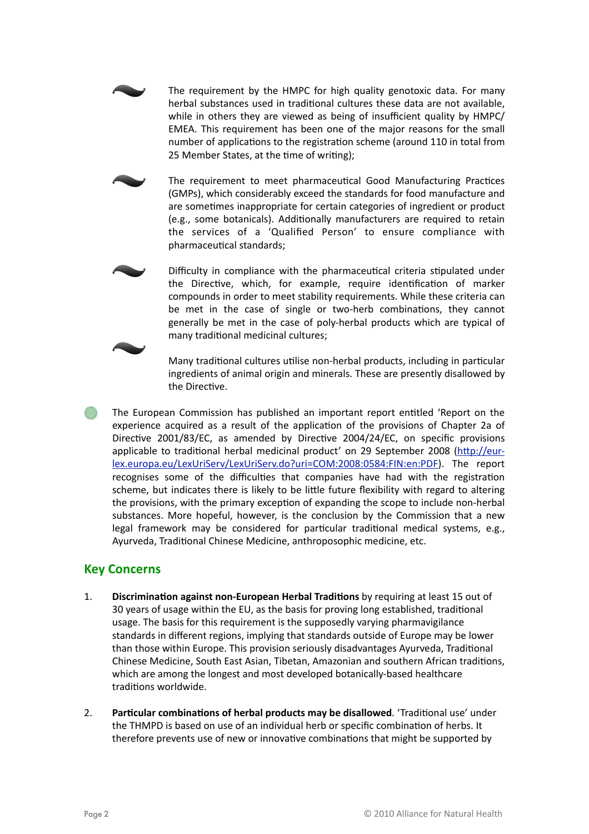The requirement by the HMPC for high quality genotoxic data. For many herbal substances used in traditional cultures these data are not available, while in others they are viewed as being of insufficient quality by HMPC/ EMEA. This requirement has been one of the major reasons for the small number of applications to the registration scheme (around 110 in total from 25 Member States, at the time of writing);

The requirement to meet pharmaceutical Good Manufacturing Practices (GMPs),
which
considerably
exceed
the
standards
for
food
manufacture
and are sometimes inappropriate for certain categories of ingredient or product (e.g., some botanicals). Additionally manufacturers are required to retain the
 services
 of
 a
 'Qualified
 Person'
 to
 ensure
 compliance
 with pharmaceutical standards;



Difficulty in compliance with the pharmaceutical criteria stipulated under the Directive, which, for example, require identification of marker compounds
in
order
to
meet
stability
requirements.
While
these
criteria
can be met in the case of single or two-herb combinations, they cannot generally be met in the case of poly-herbal products which are typical of many traditional medicinal cultures;



Many traditional cultures utilise non-herbal products, including in particular ingredients of animal origin and minerals. These are presently disallowed by the Directive.

The European Commission has published an important report entitled 'Report on the experience acquired as a result of the application of the provisions of Chapter 2a of Directive 2001/83/EC, as amended by Directive 2004/24/EC, on specific provisions applicable to traditional herbal medicinal product' on 29 September 2008 (http://eur[lex.europa.eu/LexUriServ/LexUriServ.do?uri=COM:2008:0584:FIN:en:PDF\)](http://eur-lex.europa.eu/LexUriServ/LexUriServ.do?uri=COM:2008:0584:FIN:en:PDF).
 The
 report recognises some of the difficulties that companies have had with the registration scheme, but indicates there is likely to be little future flexibility with regard to altering the provisions, with the primary exception of expanding the scope to include non-herbal substances. More hopeful, however, is the conclusion by the Commission that a new legal framework may be considered for particular traditional medical systems, e.g., Ayurveda, Traditional Chinese Medicine, anthroposophic medicine, etc.

## **Key
Concerns**

- 1. **Discrimination against non-European Herbal Traditions** by requiring at least 15 out of 30 years of usage within the EU, as the basis for proving long established, traditional usage. The basis for this requirement is the supposedly varying pharmavigilance standards in different regions, implying that standards outside of Europe may be lower than those within Europe. This provision seriously disadvantages Ayurveda, Traditional Chinese Medicine, South East Asian, Tibetan, Amazonian and southern African traditions, which are among the longest and most developed botanically-based healthcare traditions worldwide.
- 2. Particular combinations of herbal products may be disallowed. 'Traditional use' under the THMPD is based on use of an individual herb or specific combination of herbs. It therefore prevents use of new or innovative combinations that might be supported by